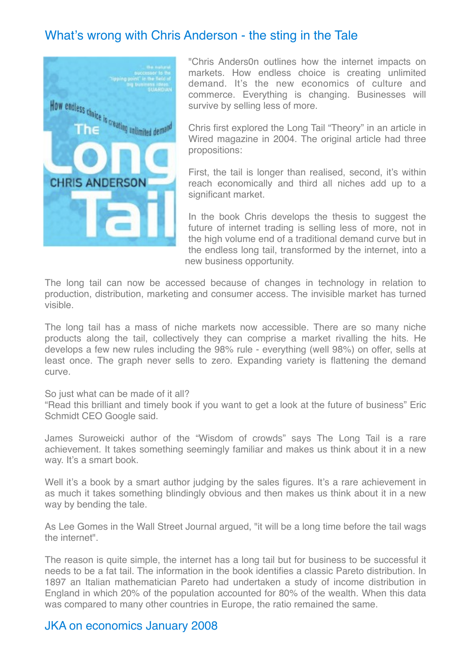# What's wrong with Chris Anderson - the sting in the Tale



"Chris Anders0n outlines how the internet impacts on markets. How endless choice is creating unlimited demand. It's the new economics of culture and commerce. Everything is changing. Businesses will survive by selling less of more.

Chris first explored the Long Tail "Theory" in an article in Wired magazine in 2004. The original article had three propositions:

First, the tail is longer than realised, second, it's within reach economically and third all niches add up to a significant market.

In the book Chris develops the thesis to suggest the future of internet trading is selling less of more, not in the high volume end of a traditional demand curve but in the endless long tail, transformed by the internet, into a new business opportunity.

The long tail can now be accessed because of changes in technology in relation to production, distribution, marketing and consumer access. The invisible market has turned visible.

The long tail has a mass of niche markets now accessible. There are so many niche products along the tail, collectively they can comprise a market rivalling the hits. He develops a few new rules including the 98% rule - everything (well 98%) on offer, sells at least once. The graph never sells to zero. Expanding variety is flattening the demand curve.

#### So just what can be made of it all?

"Read this brilliant and timely book if you want to get a look at the future of business" Eric Schmidt CEO Google said.

James Suroweicki author of the "Wisdom of crowds" says The Long Tail is a rare achievement. It takes something seemingly familiar and makes us think about it in a new way. It's a smart book.

Well it's a book by a smart author judging by the sales figures. It's a rare achievement in as much it takes something blindingly obvious and then makes us think about it in a new way by bending the tale.

As Lee Gomes in the Wall Street Journal argued, "it will be a long time before the tail wags the internet".

The reason is quite simple, the internet has a long tail but for business to be successful it needs to be a fat tail. The information in the book identifies a classic Pareto distribution. In 1897 an Italian mathematician Pareto had undertaken a study of income distribution in England in which 20% of the population accounted for 80% of the wealth. When this data was compared to many other countries in Europe, the ratio remained the same.

### JKA on economics January 2008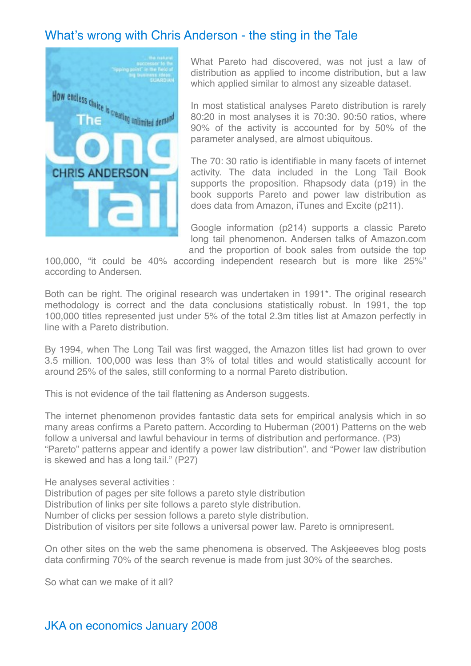# What's wrong with Chris Anderson - the sting in the Tale



What Pareto had discovered, was not just a law of distribution as applied to income distribution, but a law which applied similar to almost any sizeable dataset.

In most statistical analyses Pareto distribution is rarely 80:20 in most analyses it is 70:30. 90:50 ratios, where 90% of the activity is accounted for by 50% of the parameter analysed, are almost ubiquitous.

The 70: 30 ratio is identifiable in many facets of internet activity. The data included in the Long Tail Book supports the proposition. Rhapsody data (p19) in the book supports Pareto and power law distribution as does data from Amazon, iTunes and Excite (p211).

Google information (p214) supports a classic Pareto long tail phenomenon. Andersen talks of Amazon.com and the proportion of book sales from outside the top

100,000, "it could be 40% according independent research but is more like 25%" according to Andersen.

Both can be right. The original research was undertaken in 1991<sup>\*</sup>. The original research methodology is correct and the data conclusions statistically robust. In 1991, the top 100,000 titles represented just under 5% of the total 2.3m titles list at Amazon perfectly in line with a Pareto distribution.

By 1994, when The Long Tail was first wagged, the Amazon titles list had grown to over 3.5 million. 100,000 was less than 3% of total titles and would statistically account for around 25% of the sales, still conforming to a normal Pareto distribution.

This is not evidence of the tail flattening as Anderson suggests.

The internet phenomenon provides fantastic data sets for empirical analysis which in so many areas confirms a Pareto pattern. According to Huberman (2001) Patterns on the web follow a universal and lawful behaviour in terms of distribution and performance. (P3) "Pareto" patterns appear and identify a power law distribution". and "Power law distribution is skewed and has a long tail." (P27)

He analyses several activities :

Distribution of pages per site follows a pareto style distribution

Distribution of links per site follows a pareto style distribution.

Number of clicks per session follows a pareto style distribution.

Distribution of visitors per site follows a universal power law. Pareto is omnipresent.

On other sites on the web the same phenomena is observed. The Askjeeeves blog posts data confirming 70% of the search revenue is made from just 30% of the searches.

So what can we make of it all?